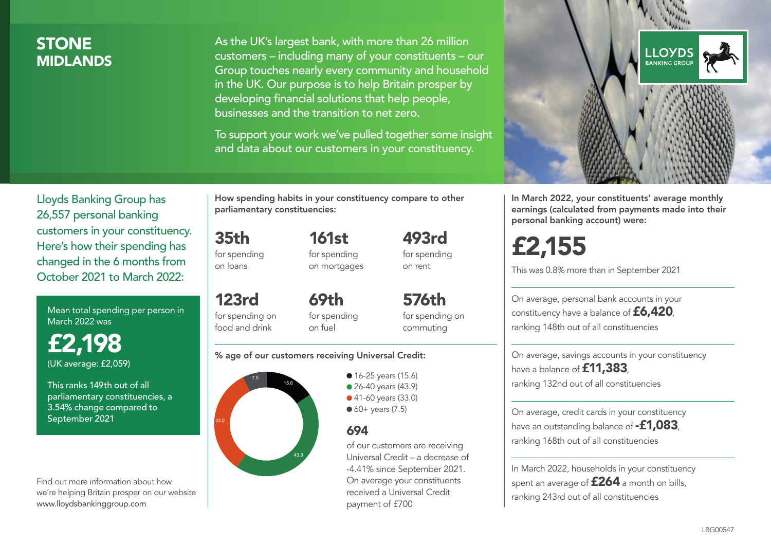### **STONE MIDI ANDS**

As the UK's largest bank, with more than 26 million customers – including many of your constituents – our Group touches nearly every community and household in the UK. Our purpose is to help Britain prosper by developing financial solutions that help people, businesses and the transition to net zero.

To support your work we've pulled together some insight and data about our customers in your constituency.



Mean total spending per person in March 2022 was

£2,198 (UK average: £2,059)

This ranks 149th out of all parliamentary constituencies, a 3.54% change compared to September 2021

Find out more information about how we're helping Britain prosper on our website www.lloydsbankinggroup.com

How spending habits in your constituency compare to other parliamentary constituencies:

35th for spending 161st for spending on mortgages

on loans

food and drink

123rd for spending on 69th for spending

for spending on commuting

493rd for spending on rent

576th

#### % age of our customers receiving Universal Credit:

on fuel



**16-25 years (15.6)** • 26-40 years (43.9) ● 41-60 years (33.0)  $60+$  years (7.5)

### 694

of our customers are receiving Universal Credit – a decrease of -4.41% since September 2021. On average your constituents received a Universal Credit payment of £700



In March 2022, your constituents' average monthly earnings (calculated from payments made into their personal banking account) were:

# £2,155

This was 0.8% more than in September 2021

On average, personal bank accounts in your constituency have a balance of £6,420, ranking 148th out of all constituencies

On average, savings accounts in your constituency have a balance of **£11,383** ranking 132nd out of all constituencies

On average, credit cards in your constituency have an outstanding balance of  $-$ £1,083 ranking 168th out of all constituencies

In March 2022, households in your constituency spent an average of **£264** a month on bills, ranking 243rd out of all constituencies